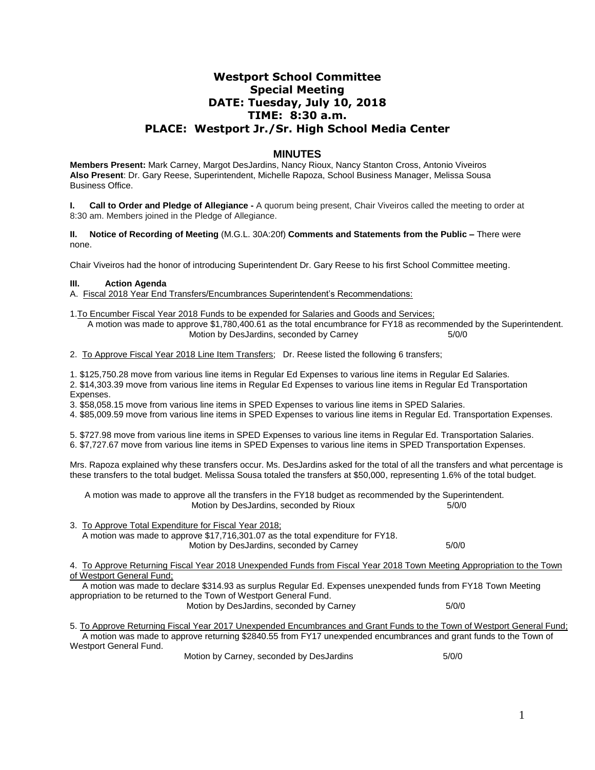# **Westport School Committee Special Meeting DATE: Tuesday, July 10, 2018 TIME: 8:30 a.m. PLACE: Westport Jr./Sr. High School Media Center**

## **MINUTES**

**Members Present:** Mark Carney, Margot DesJardins, Nancy Rioux, Nancy Stanton Cross, Antonio Viveiros **Also Present**: Dr. Gary Reese, Superintendent, Michelle Rapoza, School Business Manager, Melissa Sousa Business Office.

**Call to Order and Pledge of Allegiance -** A quorum being present, Chair Viveiros called the meeting to order at 8:30 am. Members joined in the Pledge of Allegiance.

**II. Notice of Recording of Meeting** (M.G.L. 30A:20f) **Comments and Statements from the Public –** There were none.

Chair Viveiros had the honor of introducing Superintendent Dr. Gary Reese to his first School Committee meeting.

#### **III. Action Agenda**

A. Fiscal 2018 Year End Transfers/Encumbrances Superintendent's Recommendations:

1.To Encumber Fiscal Year 2018 Funds to be expended for Salaries and Goods and Services; A motion was made to approve \$1,780,400.61 as the total encumbrance for FY18 as recommended by the Superintendent. Motion by DesJardins, seconded by Carney 6/0/0

2. To Approve Fiscal Year 2018 Line Item Transfers; Dr. Reese listed the following 6 transfers;

1. \$125,750.28 move from various line items in Regular Ed Expenses to various line items in Regular Ed Salaries. 2. \$14,303.39 move from various line items in Regular Ed Expenses to various line items in Regular Ed Transportation Expenses.

3. \$58,058.15 move from various line items in SPED Expenses to various line items in SPED Salaries.

4. \$85,009.59 move from various line items in SPED Expenses to various line items in Regular Ed. Transportation Expenses.

5. \$727.98 move from various line items in SPED Expenses to various line items in Regular Ed. Transportation Salaries. 6. \$7,727.67 move from various line items in SPED Expenses to various line items in SPED Transportation Expenses.

Mrs. Rapoza explained why these transfers occur. Ms. DesJardins asked for the total of all the transfers and what percentage is these transfers to the total budget. Melissa Sousa totaled the transfers at \$50,000, representing 1.6% of the total budget.

 A motion was made to approve all the transfers in the FY18 budget as recommended by the Superintendent. Motion by DesJardins, seconded by Rioux 5/0/0

3. To Approve Total Expenditure for Fiscal Year 2018; A motion was made to approve \$17,716,301.07 as the total expenditure for FY18. Motion by DesJardins, seconded by Carney 6/0/0

4. To Approve Returning Fiscal Year 2018 Unexpended Funds from Fiscal Year 2018 Town Meeting Appropriation to the Town of Westport General Fund;

 A motion was made to declare \$314.93 as surplus Regular Ed. Expenses unexpended funds from FY18 Town Meeting appropriation to be returned to the Town of Westport General Fund. Motion by DesJardins, seconded by Carney 6/0/0

5. To Approve Returning Fiscal Year 2017 Unexpended Encumbrances and Grant Funds to the Town of Westport General Fund; A motion was made to approve returning \$2840.55 from FY17 unexpended encumbrances and grant funds to the Town of Westport General Fund.

Motion by Carney, seconded by DesJardins 6/0/0